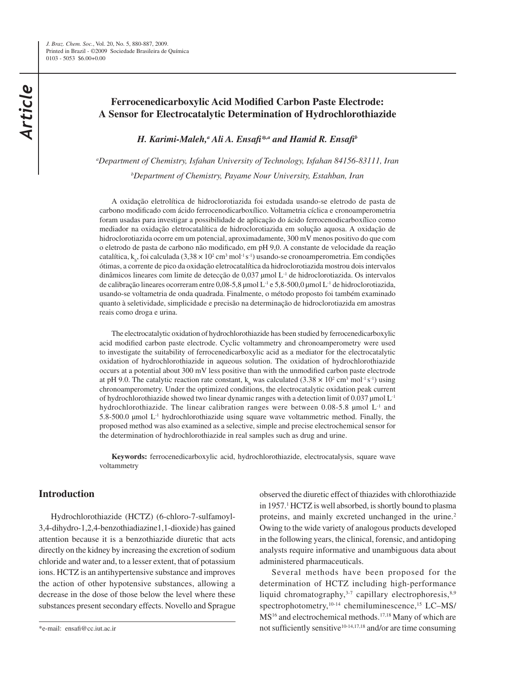*Article*

# **Ferrocenedicarboxylic Acid Modified Carbon Paste Electrode: A Sensor for Electrocatalytic Determination of Hydrochlorothiazide**

*H. Karimi-Maleh,a Ali A. Ensafi\*,a and Hamid R. Ensafib*

*a Department of Chemistry, Isfahan University of Technology, Isfahan 84156-83111, Iran*

*b Department of Chemistry, Payame Nour University, Estahban, Iran*

A oxidação eletrolítica de hidroclorotiazida foi estudada usando-se eletrodo de pasta de carbono modificado com ácido ferrocenodicarboxílico. Voltametria cíclica e cronoamperometria foram usadas para investigar a possibilidade de aplicação do ácido ferrocenodicarboxílico como mediador na oxidação eletrocatalítica de hidroclorotiazida em solução aquosa. A oxidação de hidroclorotiazida ocorre em um potencial, aproximadamente, 300 mV menos positivo do que com o eletrodo de pasta de carbono não modificado, em pH 9,0. A constante de velocidade da reação catalítica,  $k_{h}$ , foi calculada (3,38 × 10<sup>2</sup> cm<sup>3</sup> mol<sup>-1</sup> s<sup>-1</sup>) usando-se cronoamperometria. Em condições ótimas, a corrente de pico da oxidação eletrocatalítica da hidroclorotiazida mostrou dois intervalos dinâmicos lineares com limite de detecção de 0,037 μmol L-1 de hidroclorotiazida. Os intervalos de calibração lineares ocorreram entre 0,08-5,8 µmol L-1 e 5,8-500,0 µmol L-1 de hidroclorotiazida, usando-se voltametria de onda quadrada. Finalmente, o método proposto foi também examinado quanto à seletividade, simplicidade e precisão na determinação de hidroclorotiazida em amostras reais como droga e urina.

The electrocatalytic oxidation of hydrochlorothiazide has been studied by ferrocenedicarboxylic acid modified carbon paste electrode. Cyclic voltammetry and chronoamperometry were used to investigate the suitability of ferrocenedicarboxylic acid as a mediator for the electrocatalytic oxidation of hydrochlorothiazide in aqueous solution. The oxidation of hydrochlorothiazide occurs at a potential about 300 mV less positive than with the unmodified carbon paste electrode at pH 9.0. The catalytic reaction rate constant,  $k<sub>h</sub>$  was calculated (3.38  $\times$  10<sup>2</sup> cm<sup>3</sup> mol<sup>-1</sup> s<sup>-1</sup>) using chronoamperometry. Under the optimized conditions, the electrocatalytic oxidation peak current of hydrochlorothiazide showed two linear dynamic ranges with a detection limit of 0.037 μmol L-1 hydrochlorothiazide. The linear calibration ranges were between 0.08-5.8 µmol  $L^{-1}$  and 5.8-500.0 µmol  $L<sup>-1</sup>$  hydrochlorothiazide using square wave voltammetric method. Finally, the proposed method was also examined as a selective, simple and precise electrochemical sensor for the determination of hydrochlorothiazide in real samples such as drug and urine.

**Keywords:** ferrocenedicarboxylic acid, hydrochlorothiazide, electrocatalysis, square wave voltammetry

# **Introduction**

Hydrochlorothiazide (HCTZ) (6-chloro-7-sulfamoyl-3,4-dihydro-1,2,4-benzothiadiazine1,1-dioxide) has gained attention because it is a benzothiazide diuretic that acts directly on the kidney by increasing the excretion of sodium chloride and water and, to a lesser extent, that of potassium ions. HCTZ is an antihypertensive substance and improves the action of other hypotensive substances, allowing a decrease in the dose of those below the level where these substances present secondary effects. Novello and Sprague observed the diuretic effect of thiazides with chlorothiazide in 1957.1 HCTZ is well absorbed, is shortly bound to plasma proteins, and mainly excreted unchanged in the urine.<sup>2</sup> Owing to the wide variety of analogous products developed in the following years, the clinical, forensic, and antidoping analysts require informative and unambiguous data about administered pharmaceuticals.

Several methods have been proposed for the determination of HCTZ including high-performance liquid chromatography, $3-7$  capillary electrophoresis, $8,9$ spectrophotometry,<sup>10-14</sup> chemiluminescence,<sup>15</sup> LC–MS/ MS<sup>16</sup> and electrochemical methods.<sup>17,18</sup> Many of which are not sufficiently sensitive<sup>10-14,17,18</sup> and/or are time consuming

<sup>\*</sup>e-mail: ensafi@cc.iut.ac.ir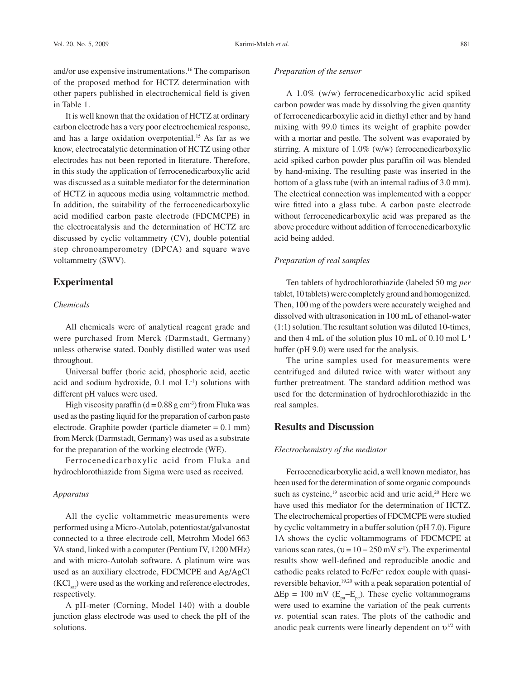and/or use expensive instrumentations.16 The comparison of the proposed method for HCTZ determination with other papers published in electrochemical field is given in Table 1.

It is well known that the oxidation of HCTZ at ordinary carbon electrode has a very poor electrochemical response, and has a large oxidation overpotential.<sup>15</sup> As far as we know, electrocatalytic determination of HCTZ using other electrodes has not been reported in literature. Therefore, in this study the application of ferrocenedicarboxylic acid was discussed as a suitable mediator for the determination of HCTZ in aqueous media using voltammetric method. In addition, the suitability of the ferrocenedicarboxylic acid modified carbon paste electrode (FDCMCPE) in the electrocatalysis and the determination of HCTZ are discussed by cyclic voltammetry (CV), double potential step chronoamperometry (DPCA) and square wave voltammetry (SWV).

### **Experimental**

### *Chemicals*

All chemicals were of analytical reagent grade and were purchased from Merck (Darmstadt, Germany) unless otherwise stated. Doubly distilled water was used throughout.

Universal buffer (boric acid, phosphoric acid, acetic acid and sodium hydroxide,  $0.1$  mol  $L^{-1}$ ) solutions with different pH values were used.

High viscosity paraffin  $(d = 0.88$  g cm<sup>-3</sup>) from Fluka was used as the pasting liquid for the preparation of carbon paste electrode. Graphite powder (particle diameter = 0.1 mm) from Merck (Darmstadt, Germany) was used as a substrate for the preparation of the working electrode (WE).

Ferrocenedicarboxylic acid from Fluka and hydrochlorothiazide from Sigma were used as received.

#### *Apparatus*

All the cyclic voltammetric measurements were performed using a Micro-Autolab, potentiostat/galvanostat connected to a three electrode cell, Metrohm Model 663 VA stand, linked with a computer (Pentium IV, 1200 MHz) and with micro-Autolab software. A platinum wire was used as an auxiliary electrode, FDCMCPE and Ag/AgCl  $(KCl<sub>est</sub>)$  were used as the working and reference electrodes, respectively.

A pH-meter (Corning, Model 140) with a double junction glass electrode was used to check the pH of the solutions.

#### *Preparation of the sensor*

A 1.0% (w/w) ferrocenedicarboxylic acid spiked carbon powder was made by dissolving the given quantity of ferrocenedicarboxylic acid in diethyl ether and by hand mixing with 99.0 times its weight of graphite powder with a mortar and pestle. The solvent was evaporated by stirring. A mixture of 1.0% (w/w) ferrocenedicarboxylic acid spiked carbon powder plus paraffin oil was blended by hand-mixing. The resulting paste was inserted in the bottom of a glass tube (with an internal radius of 3.0 mm). The electrical connection was implemented with a copper wire fitted into a glass tube. A carbon paste electrode without ferrocenedicarboxylic acid was prepared as the above procedure without addition of ferrocenedicarboxylic acid being added.

### *Preparation of real samples*

Ten tablets of hydrochlorothiazide (labeled 50 mg *per* tablet, 10 tablets) were completely ground and homogenized. Then, 100 mg of the powders were accurately weighed and dissolved with ultrasonication in 100 mL of ethanol-water (1:1) solution. The resultant solution was diluted 10-times, and then 4 mL of the solution plus 10 mL of 0.10 mol  $L^{-1}$ buffer (pH 9.0) were used for the analysis.

The urine samples used for measurements were centrifuged and diluted twice with water without any further pretreatment. The standard addition method was used for the determination of hydrochlorothiazide in the real samples.

### **Results and Discussion**

#### *Electrochemistry of the mediator*

Ferrocenedicarboxylic acid, a well known mediator, has been used for the determination of some organic compounds such as cysteine,<sup>19</sup> ascorbic acid and uric acid,<sup>20</sup> Here we have used this mediator for the determination of HCTZ. The electrochemical properties of FDCMCPE were studied by cyclic voltammetry in a buffer solution (pH 7.0). Figure 1A shows the cyclic voltammograms of FDCMCPE at various scan rates,  $(\nu = 10 - 250 \text{ mV s}^{-1})$ . The experimental results show well-defined and reproducible anodic and cathodic peaks related to Fc/Fc<sup>+</sup> redox couple with quasireversible behavior,<sup>19,20</sup> with a peak separation potential of  $\Delta$ Ep = 100 mV (E<sub>na</sub>–E<sub>nc</sub>). These cyclic voltammograms were used to examine the variation of the peak currents *vs.* potential scan rates. The plots of the cathodic and anodic peak currents were linearly dependent on  $v^{1/2}$  with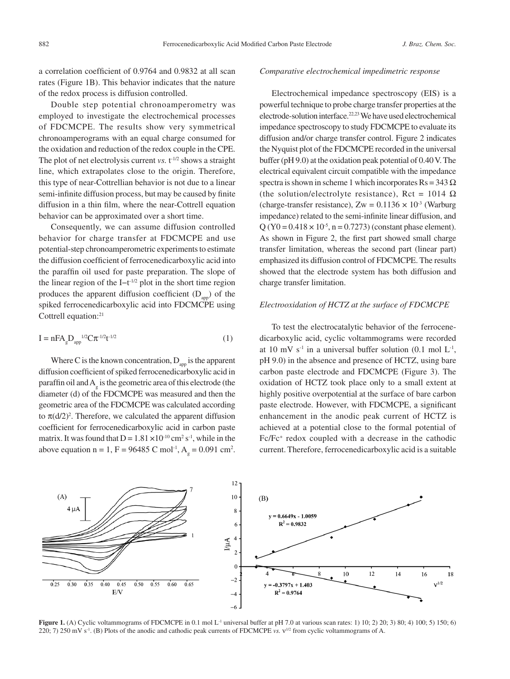a correlation coefficient of 0.9764 and 0.9832 at all scan rates (Figure 1B). This behavior indicates that the nature of the redox process is diffusion controlled.

Double step potential chronoamperometry was employed to investigate the electrochemical processes of FDCMCPE. The results show very symmetrical chronoamperograms with an equal charge consumed for the oxidation and reduction of the redox couple in the CPE. The plot of net electrolysis current *vs.* t<sup>-1/2</sup> shows a straight line, which extrapolates close to the origin. Therefore, this type of near-Cottrellian behavior is not due to a linear semi-infinite diffusion process, but may be caused by finite diffusion in a thin film, where the near-Cottrell equation behavior can be approximated over a short time.

Consequently, we can assume diffusion controlled behavior for charge transfer at FDCMCPE and use potential-step chronoamperometric experiments to estimate the diffusion coefficient of ferrocenedicarboxylic acid into the paraffin oil used for paste preparation. The slope of the linear region of the I−t-1/2 plot in the short time region produces the apparent diffusion coefficient  $(D_{\text{app}})$  of the spiked ferrocenedicarboxylic acid into FDCMCPE using Cottrell equation:<sup>21</sup>

$$
I = nFA_{g}D_{app}^{1/2}C\pi^{1/2}t^{-1/2}
$$
 (1)

Where C is the known concentration,  $D_{app}$  is the apparent diffusion coefficient of spiked ferrocenedicarboxylic acid in paraffin oil and  $A_g$  is the geometric area of this electrode (the diameter (d) of the FDCMCPE was measured and then the geometric area of the FDCMCPE was calculated according to  $\pi(d/2)^2$ . Therefore, we calculated the apparent diffusion coefficient for ferrocenedicarboxylic acid in carbon paste matrix. It was found that  $D = 1.81 \times 10^{-10}$  cm<sup>2</sup> s<sup>-1</sup>, while in the above equation  $n = 1$ ,  $F = 96485$  C mol<sup>-1</sup>,  $A<sub>g</sub> = 0.091$  cm<sup>2</sup>.

#### *Comparative electrochemical impedimetric response*

Electrochemical impedance spectroscopy (EIS) is a powerful technique to probe charge transfer properties at the electrode-solution interface.22,23 We have used electrochemical impedance spectroscopy to study FDCMCPE to evaluate its diffusion and/or charge transfer control. Figure 2 indicates the Nyquist plot of the FDCMCPE recorded in the universal buffer (pH 9.0) at the oxidation peak potential of 0.40V. The electrical equivalent circuit compatible with the impedance spectra is shown in scheme 1 which incorporates Rs = 343  $\Omega$ (the solution/electrolyte resistance), Rct =  $1014 \Omega$ (charge-transfer resistance),  $Zw = 0.1136 \times 10^{-3}$  (Warburg impedance) related to the semi-infinite linear diffusion, and  $Q (Y0 = 0.418 \times 10^{-5}, n = 0.7273)$  (constant phase element). As shown in Figure 2, the first part showed small charge transfer limitation, whereas the second part (linear part) emphasized its diffusion control of FDCMCPE. The results showed that the electrode system has both diffusion and charge transfer limitation.

#### *Electrooxidation of HCTZ at the surface of FDCMCPE*

To test the electrocatalytic behavior of the ferrocenedicarboxylic acid, cyclic voltammograms were recorded at 10 mV s<sup>-1</sup> in a universal buffer solution (0.1 mol  $L^{-1}$ , pH 9.0) in the absence and presence of HCTZ, using bare carbon paste electrode and FDCMCPE (Figure 3). The oxidation of HCTZ took place only to a small extent at highly positive overpotential at the surface of bare carbon paste electrode. However, with FDCMCPE, a significant enhancement in the anodic peak current of HCTZ is achieved at a potential close to the formal potential of Fc/Fc<sup>+</sup> redox coupled with a decrease in the cathodic current. Therefore, ferrocenedicarboxylic acid is a suitable



**Figure 1.** (A) Cyclic voltammograms of FDCMCPE in 0.1 mol L<sup>-1</sup> universal buffer at pH 7.0 at various scan rates: 1) 10; 2) 20; 3) 80; 4) 100; 5) 150; 6) 220; 7) 250 mV s<sup>-1</sup>. (B) Plots of the anodic and cathodic peak currents of FDCMCPE *vs.* ν<sup>1/2</sup> from cyclic voltammograms of A.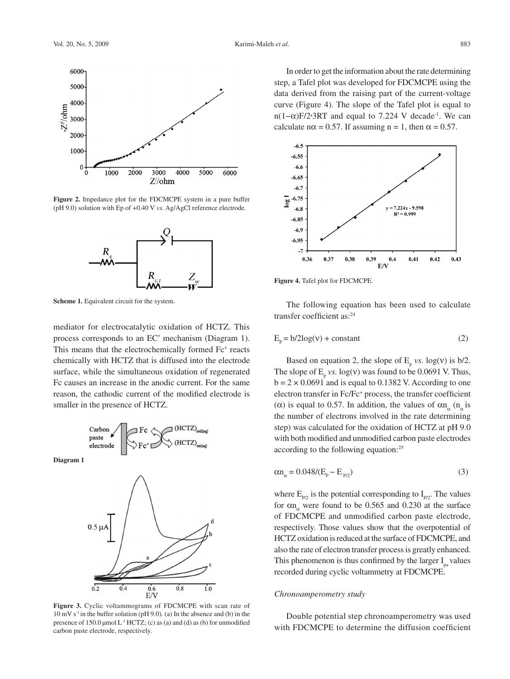

**Figure 2.** Impedance plot for the FDCMCPE system in a pure buffer (pH 9.0) solution with Ep of +0.40 V *vs.* Ag/AgCl reference electrode.



**Scheme 1.** Equivalent circuit for the system.

mediator for electrocatalytic oxidation of HCTZ. This process corresponds to an EC' mechanism (Diagram 1). This means that the electrochemically formed Fc<sup>+</sup> reacts chemically with HCTZ that is diffused into the electrode surface, while the simultaneous oxidation of regenerated Fc causes an increase in the anodic current. For the same reason, the cathodic current of the modified electrode is smaller in the presence of HCTZ.



**Figure 3.** Cyclic voltammograms of FDCMCPE with scan rate of  $10 \text{ mV s}^{-1}$  in the buffer solution (pH 9.0). (a) In the absence and (b) in the presence of 150.0  $\mu$ mol L<sup>-1</sup> HCTZ; (c) as (a) and (d) as (b) for unmodified carbon paste electrode, respectively.

In order to get the information about the rate determining step, a Tafel plot was developed for FDCMCPE using the data derived from the raising part of the current-voltage curve (Figure 4). The slope of the Tafel plot is equal to n(1- $\alpha$ )F/2•3RT and equal to 7.224 V decade<sup>-1</sup>. We can calculate n $\alpha$  = 0.57. If assuming n = 1, then  $\alpha$  = 0.57.



**Figure 4.** Tafel plot for FDCMCPE.

The following equation has been used to calculate transfer coefficient as:24

$$
E_p = b/2\log(v) + constant
$$
 (2)

Based on equation 2, the slope of  $E_p$  *vs.* log(*v*) is  $b/2$ . The slope of  $E_p$  *vs.* log(v) was found to be 0.0691 V. Thus,  $b = 2 \times 0.0691$  and is equal to 0.1382 V. According to one electron transfer in Fc/Fc+ process, the transfer coefficient ( $\alpha$ ) is equal to 0.57. In addition, the values of  $\alpha n_a$  ( $n_a$  is the number of electrons involved in the rate determining step) was calculated for the oxidation of HCTZ at pH 9.0 with both modified and unmodified carbon paste electrodes according to the following equation:25

$$
\alpha n_{\alpha} = 0.048 / (E_{p} - E_{p/2})
$$
\n(3)

where  $E_{p/2}$  is the potential corresponding to  $I_{p/2}$ . The values for  $\alpha n_a$  were found to be 0.565 and 0.230 at the surface of FDCMCPE and unmodified carbon paste electrode, respectively. Those values show that the overpotential of HCTZ oxidation is reduced at the surface of FDCMCPE, and also the rate of electron transfer process is greatly enhanced. This phenomenon is thus confirmed by the larger  $I_{p}$  values recorded during cyclic voltammetry at FDCMCPE.

#### *Chronoamperometry study*

Double potential step chronoamperometry was used with FDCMCPE to determine the diffusion coefficient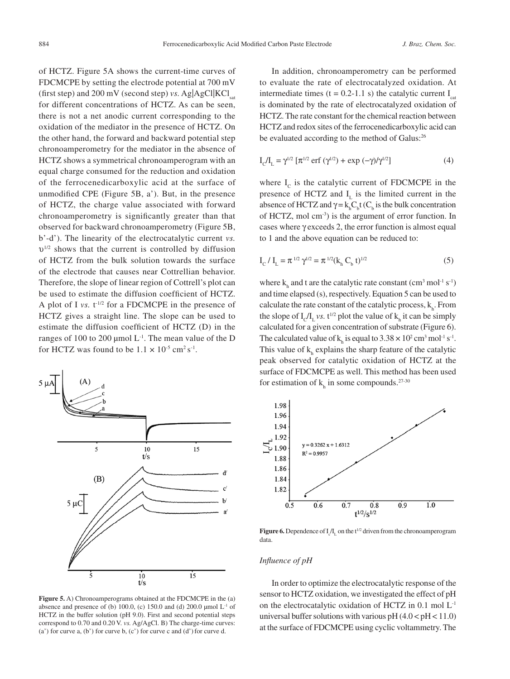of HCTZ. Figure 5A shows the current-time curves of FDCMCPE by setting the electrode potential at 700 mV (first step) and 200 mV (second step) *vs.* Ag $|AgCl|KCl<sub>sat</sub>$ for different concentrations of HCTZ. As can be seen, there is not a net anodic current corresponding to the oxidation of the mediator in the presence of HCTZ. On the other hand, the forward and backward potential step chronoamperometry for the mediator in the absence of HCTZ shows a symmetrical chronoamperogram with an equal charge consumed for the reduction and oxidation of the ferrocenedicarboxylic acid at the surface of unmodified CPE (Figure 5B, a'). But, in the presence of HCTZ, the charge value associated with forward chronoamperometry is significantly greater than that observed for backward chronoamperometry (Figure 5B, b'-d'). The linearity of the electrocatalytic current *vs.*  $v^{1/2}$  shows that the current is controlled by diffusion of HCTZ from the bulk solution towards the surface of the electrode that causes near Cottrellian behavior. Therefore, the slope of linear region of Cottrell's plot can be used to estimate the diffusion coefficient of HCTZ. A plot of I  $vs.$   $t^{-1/2}$  for a FDCMCPE in the presence of HCTZ gives a straight line. The slope can be used to estimate the diffusion coefficient of HCTZ (D) in the ranges of 100 to 200  $\mu$ mol L<sup>-1</sup>. The mean value of the D for HCTZ was found to be  $1.1 \times 10^{-5}$  cm<sup>2</sup> s<sup>-1</sup>.



**Figure 5.** A) Chronoamperograms obtained at the FDCMCPE in the (a) absence and presence of (b) 100.0, (c) 150.0 and (d) 200.0  $\mu$ mol L<sup>-1</sup> of HCTZ in the buffer solution (pH 9.0). First and second potential steps correspond to 0.70 and 0.20 V. *vs.* Ag/AgCl. B) The charge-time curves:  $(a')$  for curve a,  $(b')$  for curve b,  $(c')$  for curve c and  $(d')$  for curve d.

In addition, chronoamperometry can be performed to evaluate the rate of electrocatalyzed oxidation. At intermediate times (t = 0.2-1.1 s) the catalytic current  $I_{\text{cat}}$ is dominated by the rate of electrocatalyzed oxidation of HCTZ. The rate constant for the chemical reaction between HCTZ and redox sites of the ferrocenedicarboxylic acid can be evaluated according to the method of Galus:<sup>26</sup>

$$
I_{C}/I_{L} = \gamma^{1/2} [\pi^{1/2} \text{ erf } (\gamma^{1/2}) + \exp(-\gamma)/\gamma^{1/2}]
$$
 (4)

where  $I_c$  is the catalytic current of FDCMCPE in the presence of HCTZ and  $I<sub>r</sub>$  is the limited current in the absence of HCTZ and  $\gamma = k_h C_b t$  (C<sub>b</sub> is the bulk concentration of HCTZ, mol cm-3) is the argument of error function. In cases where γ exceeds 2, the error function is almost equal to 1 and the above equation can be reduced to:

$$
I_{C} / I_{L} = \pi^{1/2} \gamma^{1/2} = \pi^{1/2} (k_{h} C_{b} t)^{1/2}
$$
 (5)

where  $k_h$  and t are the catalytic rate constant (cm<sup>3</sup> mol<sup>-1</sup> s<sup>-1</sup>) and time elapsed (s), respectively. Equation 5 can be used to calculate the rate constant of the catalytic process,  $k_h$ . From the slope of  $I_c/I_L$  *vs.*  $t^{1/2}$  plot the value of  $k_h$  it can be simply calculated for a given concentration of substrate (Figure 6). The calculated value of  $k<sub>h</sub>$  is equal to  $3.38 \times 10^2$  cm<sup>3</sup> mol<sup>-1</sup> s<sup>-1</sup>. This value of  $k_h$  explains the sharp feature of the catalytic peak observed for catalytic oxidation of HCTZ at the surface of FDCMCPE as well. This method has been used for estimation of  $k<sub>h</sub>$  in some compounds.<sup>27-30</sup>



**Figure 6.** Dependence of  $I_c/I_c$  on the t<sup>1/2</sup> driven from the chronoamperogram data.

#### *Influence of pH*

In order to optimize the electrocatalytic response of the sensor to HCTZ oxidation, we investigated the effect of pH on the electrocatalytic oxidation of HCTZ in 0.1 mol L-1 universal buffer solutions with various  $pH(4.0 < pH < 11.0)$ at the surface of FDCMCPE using cyclic voltammetry. The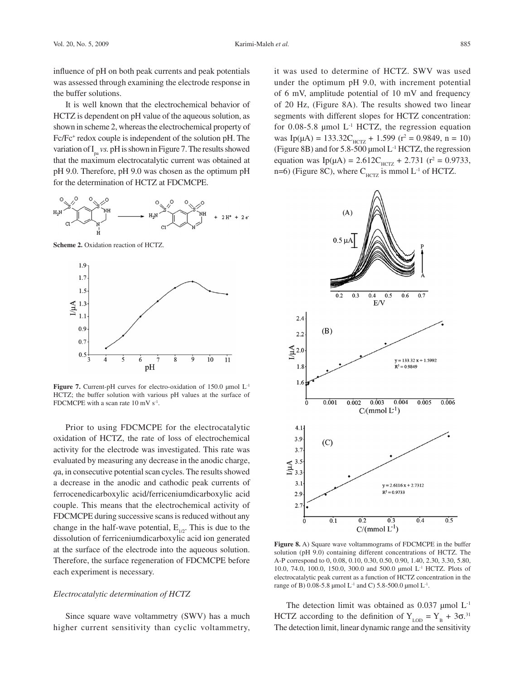influence of pH on both peak currents and peak potentials was assessed through examining the electrode response in the buffer solutions.

It is well known that the electrochemical behavior of HCTZ is dependent on pH value of the aqueous solution, as shown in scheme 2, whereas the electrochemical property of Fc/Fc<sup>+</sup> redox couple is independent of the solution pH. The variation of  $I_p$  *vs.* pH is shown in Figure 7. The results showed that the maximum electrocatalytic current was obtained at pH 9.0. Therefore, pH 9.0 was chosen as the optimum pH for the determination of HCTZ at FDCMCPE.



**Scheme 2.** Oxidation reaction of HCTZ.



**Figure 7.** Current-pH curves for electro-oxidation of 150.0 μmol L-1 HCTZ; the buffer solution with various pH values at the surface of FDCMCPE with a scan rate  $10 \text{ mV s}^{-1}$ .

Prior to using FDCMCPE for the electrocatalytic oxidation of HCTZ, the rate of loss of electrochemical activity for the electrode was investigated. This rate was evaluated by measuring any decrease in the anodic charge, *q*a, in consecutive potential scan cycles. The results showed a decrease in the anodic and cathodic peak currents of ferrocenedicarboxylic acid/ferriceniumdicarboxylic acid couple. This means that the electrochemical activity of FDCMCPE during successive scans is reduced without any change in the half-wave potential,  $E_{1/2}$ . This is due to the dissolution of ferriceniumdicarboxylic acid ion generated at the surface of the electrode into the aqueous solution. Therefore, the surface regeneration of FDCMCPE before each experiment is necessary.

#### *Electrocatalytic determination of HCTZ*

Since square wave voltammetry (SWV) has a much higher current sensitivity than cyclic voltammetry, it was used to determine of HCTZ. SWV was used under the optimum pH 9.0, with increment potential of 6 mV, amplitude potential of 10 mV and frequency of 20 Hz, (Figure 8A). The results showed two linear segments with different slopes for HCTZ concentration: for 0.08-5.8 µmol  $L<sup>-1</sup>$  HCTZ, the regression equation was Ip( $\mu$ A) = 133.32C<sub>HCTZ</sub> + 1.599 ( $r^2$  = 0.9849, n = 10) (Figure 8B) and for 5.8-500 µmol  $L^{-1}$  HCTZ, the regression equation was Ip( $\mu$ A) = 2.612C<sub>HCTZ</sub> + 2.731 ( $r^2$  = 0.9733, n=6) (Figure 8C), where  $C_{HCTZ}$  is mmol  $L^{-1}$  of HCTZ.



**Figure 8.** A) Square wave voltammograms of FDCMCPE in the buffer solution (pH 9.0) containing different concentrations of HCTZ. The A-P correspond to 0, 0.08, 0.10, 0.30, 0.50, 0.90, 1.40, 2.30, 3.30, 5.80, 10.0, 74.0, 100.0, 150.0, 300.0 and 500.0 µmol L-1 HCTZ. Plots of electrocatalytic peak current as a function of HCTZ concentration in the range of B) 0.08-5.8 µmol L<sup>-1</sup> and C) 5.8-500.0 µmol L<sup>-1</sup>.

The detection limit was obtained as  $0.037$  µmol  $L<sup>-1</sup>$ HCTZ according to the definition of  $Y_{\text{LOD}} = Y_{\text{B}} + 3\sigma^{31}$ The detection limit, linear dynamic range and the sensitivity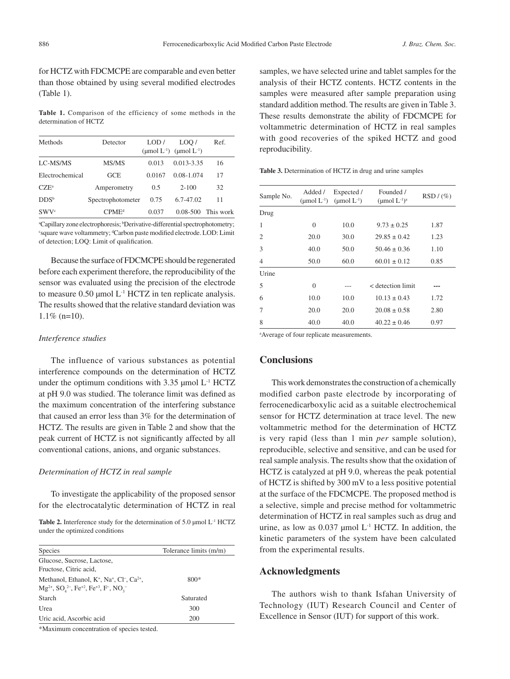for HCTZ with FDCMCPE are comparable and even better than those obtained by using several modified electrodes (Table 1).

**Table 1.** Comparison of the efficiency of some methods in the determination of HCTZ

| Methods                | Detector          | LOD/   | LOO/<br>( $\mu$ mol L <sup>-1</sup> ) ( $\mu$ mol L <sup>-1</sup> ) | Ref.                 |
|------------------------|-------------------|--------|---------------------------------------------------------------------|----------------------|
|                        |                   |        |                                                                     |                      |
| LC-MS/MS               | MS/MS             | 0.013  | $0.013 - 3.35$                                                      | 16                   |
| Electrochemical        | <b>GCE</b>        | 0.0167 | 0.08-1.074                                                          | 17                   |
| $CZF^a$                | Amperometry       | 0.5    | $2 - 100$                                                           | 32                   |
| DDS <sup>b</sup>       | Spectrophotometer | 0.75   | $6.7 - 47.02$                                                       | 11                   |
| <b>SWV<sup>c</sup></b> | CPME <sup>d</sup> | 0.037  |                                                                     | $0.08-500$ This work |

a Capillary zone electrophoresis; b Derivative-differential spectrophotometry; c square wave voltammetry; dCarbon paste modified electrode. LOD: Limit of detection; LOQ: Limit of qualification.

Because the surface of FDCMCPE should be regenerated before each experiment therefore, the reproducibility of the sensor was evaluated using the precision of the electrode to measure 0.50  $\mu$ mol L<sup>-1</sup> HCTZ in ten replicate analysis. The results showed that the relative standard deviation was  $1.1\%$  (n=10).

#### *Interference studies*

The influence of various substances as potential interference compounds on the determination of HCTZ under the optimum conditions with  $3.35 \mu$ mol L<sup>-1</sup> HCTZ at pH 9.0 was studied. The tolerance limit was defined as the maximum concentration of the interfering substance that caused an error less than 3% for the determination of HCTZ. The results are given in Table 2 and show that the peak current of HCTZ is not significantly affected by all conventional cations, anions, and organic substances.

#### *Determination of HCTZ in real sample*

To investigate the applicability of the proposed sensor for the electrocatalytic determination of HCTZ in real

**Table 2.** Interference study for the determination of  $5.0 \mu$  mol L<sup>-1</sup> HCTZ under the optimized conditions

| Species                                                                                                                                                 | Tolerance limits (m/m) |  |
|---------------------------------------------------------------------------------------------------------------------------------------------------------|------------------------|--|
| Glucose, Sucrose, Lactose,<br>Fructose, Citric acid,                                                                                                    |                        |  |
| Methanol, Ethanol, $K^+$ , Na <sup>+</sup> , Cl <sup>-</sup> , Ca <sup>2+</sup> ,<br>$Mg^{2+}$ , $SO_4^{2-}$ , $Fe^{+2}$ , $Fe^{+3}$ , $F^-$ , $NO_3^-$ | $800*$                 |  |
| Starch                                                                                                                                                  | Saturated              |  |
| Urea                                                                                                                                                    | 300                    |  |
| Uric acid, Ascorbic acid                                                                                                                                | 200                    |  |

\*Maximum concentration of species tested.

samples, we have selected urine and tablet samples for the analysis of their HCTZ contents. HCTZ contents in the samples were measured after sample preparation using standard addition method. The results are given in Table 3. These results demonstrate the ability of FDCMCPE for voltammetric determination of HCTZ in real samples with good recoveries of the spiked HCTZ and good reproducibility.

**Table 3.** Determination of HCTZ in drug and urine samples

| Sample No. | Added /<br>( $\mu$ mol $L^{-1}$ ) | Expected /<br>( $\mu$ mol $L^{-1}$ ) | Founded /<br>(umol $L^{-1}$ ) <sup>a</sup> | $RSD / (\%)$ |
|------------|-----------------------------------|--------------------------------------|--------------------------------------------|--------------|
| Drug       |                                   |                                      |                                            |              |
| 1          | $\Omega$                          | 10.0                                 | $9.73 \pm 0.25$                            | 1.87         |
| 2          | 20.0                              | 30.0                                 | $29.85 \pm 0.42$                           | 1.23         |
| 3          | 40.0                              | 50.0                                 | $50.46 \pm 0.36$                           | 1.10         |
| 4          | 50.0                              | 60.0                                 | $60.01 \pm 0.12$                           | 0.85         |
| Urine      |                                   |                                      |                                            |              |
| 5          | $\theta$                          | ---                                  | < detection limit                          |              |
| 6          | 10.0                              | 10.0                                 | $10.13 \pm 0.43$                           | 1.72         |
| 7          | 20.0                              | 20.0                                 | $20.08 \pm 0.58$                           | 2.80         |
| 8          | 40.0                              | 40.0                                 | $40.22 \pm 0.46$                           | 0.97         |

a Average of four replicate measurements.

### **Conclusions**

This work demonstrates the construction of a chemically modified carbon paste electrode by incorporating of ferrocenedicarboxylic acid as a suitable electrochemical sensor for HCTZ determination at trace level. The new voltammetric method for the determination of HCTZ is very rapid (less than 1 min *per* sample solution), reproducible, selective and sensitive, and can be used for real sample analysis. The results show that the oxidation of HCTZ is catalyzed at pH 9.0, whereas the peak potential of HCTZ is shifted by 300 mV to a less positive potential at the surface of the FDCMCPE. The proposed method is a selective, simple and precise method for voltammetric determination of HCTZ in real samples such as drug and urine, as low as  $0.037$  µmol  $L<sup>-1</sup>$  HCTZ. In addition, the kinetic parameters of the system have been calculated from the experimental results.

### **Acknowledgments**

The authors wish to thank Isfahan University of Technology (IUT) Research Council and Center of Excellence in Sensor (IUT) for support of this work.